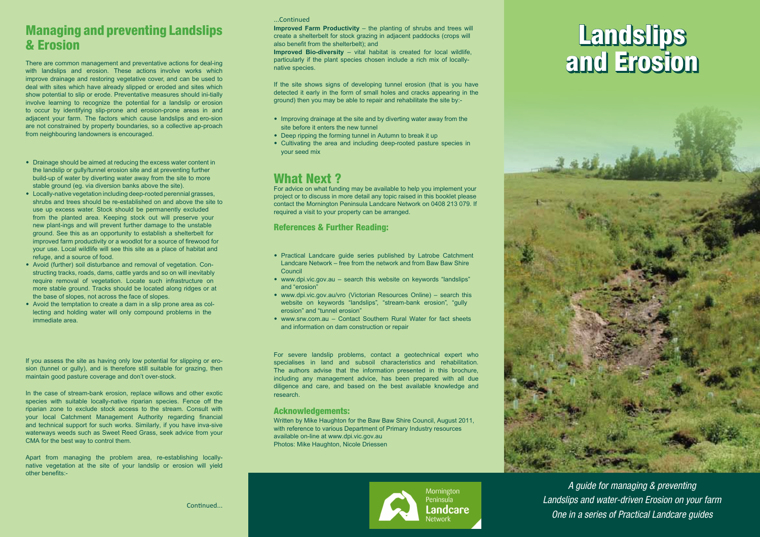# Managing and preventing Landslips & Erosion

There are common management and preventative actions for deal-ing with landslips and erosion. These actions involve works which improve drainage and restoring vegetative cover, and can be used to deal with sites which have already slipped or eroded and sites which show potential to slip or erode. Preventative measures should ini-tially involve learning to recognize the potential for a landslip or erosion to occur by identifying slip-prone and erosion-prone areas in and adjacent your farm. The factors which cause landslips and ero-sion are not constrained by property boundaries, so a collective ap-proach from neighbouring landowners is encouraged.

- Drainage should be aimed at reducing the excess water content in the landslip or gully/tunnel erosion site and at preventing further build-up of water by diverting water away from the site to more stable ground (eg. via diversion banks above the site).
- Locally-native vegetation including deep-rooted perennial grasses, shrubs and trees should be re-established on and above the site to use up excess water. Stock should be permanently excluded from the planted area. Keeping stock out will preserve your new plant-ings and will prevent further damage to the unstable ground. See this as an opportunity to establish a shelterbelt for improved farm productivity or a woodlot for a source of firewood for your use. Local wildlife will see this site as a place of habitat and refuge, and a source of food.
- Avoid (further) soil disturbance and removal of vegetation. Constructing tracks, roads, dams, cattle yards and so on will inevitably require removal of vegetation. Locate such infrastructure on more stable ground. Tracks should be located along ridges or at the base of slopes, not across the face of slopes.
- Avoid the temptation to create a dam in a slip prone area as collecting and holding water will only compound problems in the immediate area.

If you assess the site as having only low potential for slipping or erosion (tunnel or gully), and is therefore still suitable for grazing, then maintain good pasture coverage and don't over-stock.

In the case of stream-bank erosion, replace willows and other exotic species with suitable locally-native riparian species. Fence off the riparian zone to exclude stock access to the stream. Consult with your local Catchment Management Authority regarding financial and technical support for such works. Similarly, if you have inva-sive waterways weeds such as Sweet Reed Grass, seek advice from your CMA for the best way to control them.

Apart from managing the problem area, re-establishing locallynative vegetation at the site of your landslip or erosion will yield other benefits:-

#### ...Continued

**Improved Farm Productivity** – the planting of shrubs and trees will create a shelterbelt for stock grazing in adjacent paddocks (crops will also benefit from the shelterbelt); and

**Improved Bio-diversity** – vital habitat is created for local wildlife, particularly if the plant species chosen include a rich mix of locallynative species.

If the site shows signs of developing tunnel erosion (that is you have detected it early in the form of small holes and cracks appearing in the ground) then you may be able to repair and rehabilitate the site by:-

- Improving drainage at the site and by diverting water away from the site before it enters the new tunnel
- Deep ripping the forming tunnel in Autumn to break it up
- Cultivating the area and including deep-rooted pasture species in your seed mix

## What Next ?

For advice on what funding may be available to help you implement your project or to discuss in more detail any topic raised in this booklet please contact the Mornington Peninsula Landcare Network on 0408 213 079. If required a visit to your property can be arranged.

## References & Further Reading:

- Practical Landcare guide series published by Latrobe Catchment Landcare Network – free from the network and from Baw Baw Shire Council
- www.dpi.vic.gov.au search this website on keywords "landslips" and "erosion"
- www.dpi.vic.gov.au/vro (Victorian Resources Online) search this website on keywords "landslips" "stream-bank erosion" "gully erosion" and "tunnel erosion"
- www.srw.com.au Contact Southern Rural Water for fact sheets and information on dam construction or repair

For severe landslip problems, contact a geotechnical expert who specialises in land and subsoil characteristics and rehabilitation. The authors advise that the information presented in this brochure, including any management advice, has been prepared with all due diligence and care, and based on the best available knowledge and research.

## Acknowledgements:

Written by Mike Haughton for the Baw Baw Shire Council, August 2011, with reference to various Department of Primary Industry resources available on-line at www.dpi.vic.gov.au Photos: Mike Haughton, Nicole Driessen



## Landslips and Erosion **Landslips** and Erosion



*A guide for managing & preventing Landslips and water-driven Erosion on your farm One in a series of Practical Landcare guides*

Continued